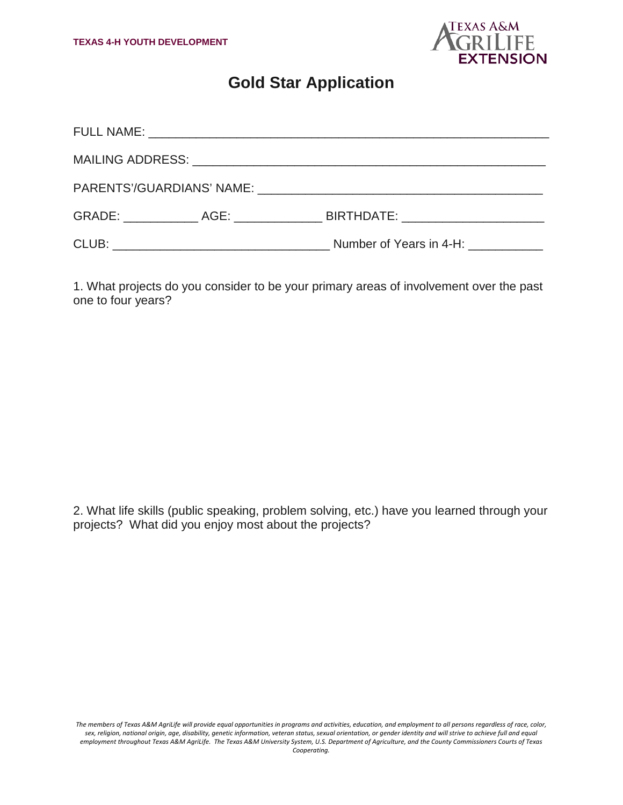

## **Gold Star Application**

|  |  | Number of Years in 4-H: |  |
|--|--|-------------------------|--|

1. What projects do you consider to be your primary areas of involvement over the past one to four years?

2. What life skills (public speaking, problem solving, etc.) have you learned through your projects? What did you enjoy most about the projects?

*The members of Texas A&M AgriLife will provide equal opportunities in programs and activities, education, and employment to all persons regardless of race, color, sex, religion, national origin, age, disability, genetic information, veteran status, sexual orientation, or gender identity and will strive to achieve full and equal employment throughout Texas A&M AgriLife. The Texas A&M University System, U.S. Department of Agriculture, and the County Commissioners Courts of Texas Cooperating.*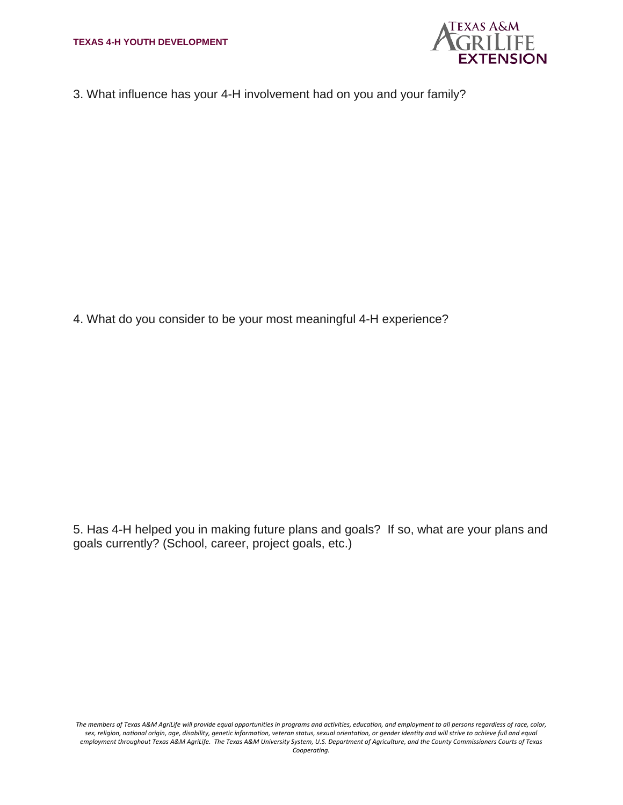

3. What influence has your 4-H involvement had on you and your family?

4. What do you consider to be your most meaningful 4-H experience?

5. Has 4-H helped you in making future plans and goals? If so, what are your plans and goals currently? (School, career, project goals, etc.)

*The members of Texas A&M AgriLife will provide equal opportunities in programs and activities, education, and employment to all persons regardless of race, color, sex, religion, national origin, age, disability, genetic information, veteran status, sexual orientation, or gender identity and will strive to achieve full and equal employment throughout Texas A&M AgriLife. The Texas A&M University System, U.S. Department of Agriculture, and the County Commissioners Courts of Texas Cooperating.*